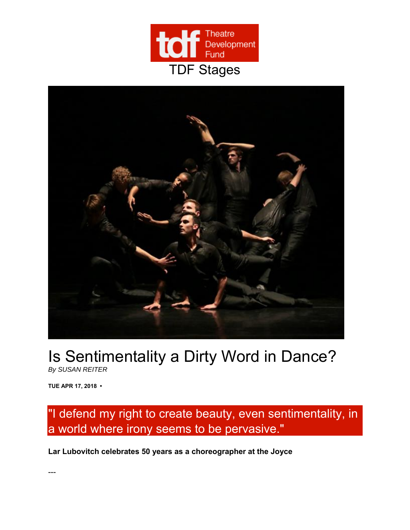



## Is Sentimentality a Dirty Word in Dance?

*By SUSAN REITER* 

**TUE APR 17, 2018 •** 

## "I defend my right to create beauty, even sentimentality, in a world where irony seems to be pervasive."

**Lar Lubovitch celebrates 50 years as a choreographer at the Joyce**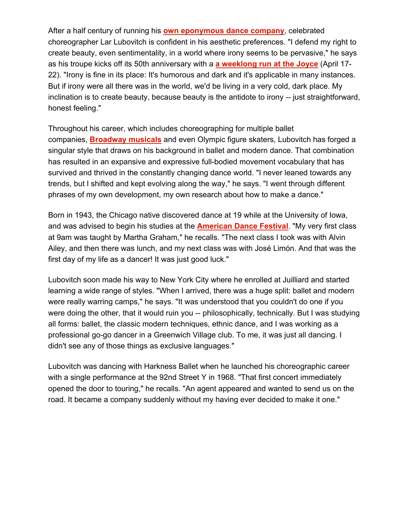After a half century of running his **own eponymous dance company**, celebrated choreographer Lar Lubovitch is confident in his aesthetic preferences. "I defend my right to create beauty, even sentimentality, in a world where irony seems to be pervasive," he says as his troupe kicks off its 50th anniversary with a **a weeklong run at the Joyce** (April 17- 22). "Irony is fine in its place: It's humorous and dark and it's applicable in many instances. But if irony were all there was in the world, we'd be living in a very cold, dark place. My inclination is to create beauty, because beauty is the antidote to irony -- just straightforward, honest feeling."

Throughout his career, which includes choreographing for multiple ballet companies, **Broadway musicals** and even Olympic figure skaters, Lubovitch has forged a singular style that draws on his background in ballet and modern dance. That combination has resulted in an expansive and expressive full-bodied movement vocabulary that has survived and thrived in the constantly changing dance world. "I never leaned towards any trends, but I shifted and kept evolving along the way," he says. "I went through different phrases of my own development, my own research about how to make a dance."

Born in 1943, the Chicago native discovered dance at 19 while at the University of Iowa, and was advised to begin his studies at the **American Dance Festival**. "My very first class at 9am was taught by Martha Graham," he recalls. "The next class I took was with Alvin Ailey, and then there was lunch, and my next class was with José Limón. And that was the first day of my life as a dancer! It was just good luck."

Lubovitch soon made his way to New York City where he enrolled at Juilliard and started learning a wide range of styles. "When I arrived, there was a huge split: ballet and modern were really warring camps," he says. "It was understood that you couldn't do one if you were doing the other, that it would ruin you -- philosophically, technically. But I was studying all forms: ballet, the classic modern techniques, ethnic dance, and I was working as a professional go-go dancer in a Greenwich Village club. To me, it was just all dancing. I didn't see any of those things as exclusive languages."

Lubovitch was dancing with Harkness Ballet when he launched his choreographic career with a single performance at the 92nd Street Y in 1968. "That first concert immediately opened the door to touring," he recalls. "An agent appeared and wanted to send us on the road. It became a company suddenly without my having ever decided to make it one."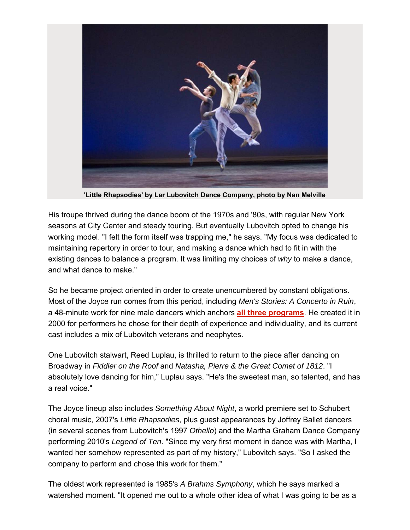

**'Little Rhapsodies' by Lar Lubovitch Dance Company, photo by Nan Melville** 

His troupe thrived during the dance boom of the 1970s and '80s, with regular New York seasons at City Center and steady touring. But eventually Lubovitch opted to change his working model. "I felt the form itself was trapping me," he says. "My focus was dedicated to maintaining repertory in order to tour, and making a dance which had to fit in with the existing dances to balance a program. It was limiting my choices of *why* to make a dance, and what dance to make."

So he became project oriented in order to create unencumbered by constant obligations. Most of the Joyce run comes from this period, including *Men's Stories: A Concerto in Ruin*, a 48-minute work for nine male dancers which anchors **all three programs**. He created it in 2000 for performers he chose for their depth of experience and individuality, and its current cast includes a mix of Lubovitch veterans and neophytes.

One Lubovitch stalwart, Reed Luplau, is thrilled to return to the piece after dancing on Broadway in *Fiddler on the Roof* and *Natasha, Pierre & the Great Comet of 1812*. "I absolutely love dancing for him," Luplau says. "He's the sweetest man, so talented, and has a real voice."

The Joyce lineup also includes *Something About Night*, a world premiere set to Schubert choral music, 2007's *Little Rhapsodies*, plus guest appearances by Joffrey Ballet dancers (in several scenes from Lubovitch's 1997 *Othello*) and the Martha Graham Dance Company performing 2010's *Legend of Ten*. "Since my very first moment in dance was with Martha, I wanted her somehow represented as part of my history," Lubovitch says. "So I asked the company to perform and chose this work for them."

The oldest work represented is 1985's *A Brahms Symphony*, which he says marked a watershed moment. "It opened me out to a whole other idea of what I was going to be as a